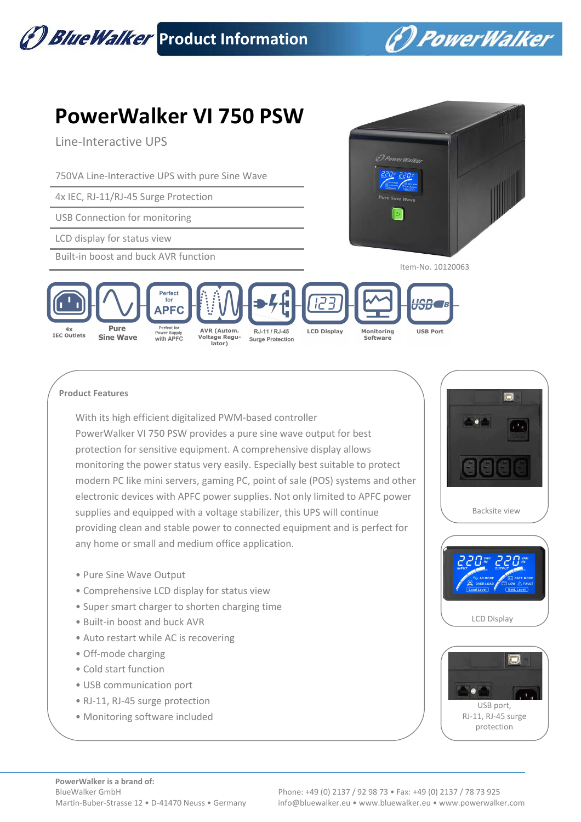

## **Product Features**

With its high efficient digitalized PWM-based controller PowerWalker VI 750 PSW provides a pure sine wave output for best protection for sensitive equipment. A comprehensive display allows monitoring the power status very easily. Especially best suitable to protect modern PC like mini servers, gaming PC, point of sale (POS) systems and other electronic devices with APFC power supplies. Not only limited to APFC power supplies and equipped with a voltage stabilizer, this UPS will continue providing clean and stable power to connected equipment and is perfect for any home or small and medium office application.

- Pure Sine Wave Output
- Comprehensive LCD display for status view
- Super smart charger to shorten charging time
- Built-in boost and buck AVR
- Auto restart while AC is recovering
- Off-mode charging
- Cold start function
- USB communication port
- RJ-11, RJ-45 surge protection
- Monitoring software included